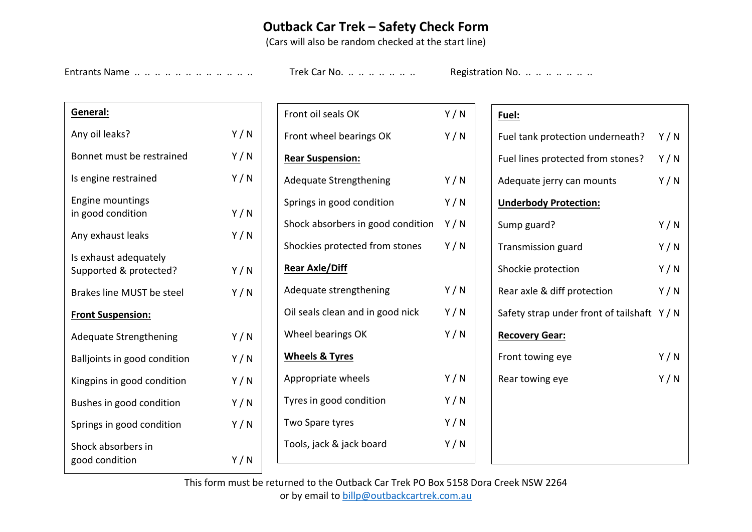## **Outback Car Trek – Safety Check Form**

(Cars will also be random checked at the start line)

Entrants Name .. .. .. .. .. .. .. .. .. .. .. Trek Car No. .. .. .. .. .. .. .. Registration No. .. .. .. .. .. ..

| General:                                        |     |  |  |  |  |  |
|-------------------------------------------------|-----|--|--|--|--|--|
| Any oil leaks?                                  | Y/N |  |  |  |  |  |
| Bonnet must be restrained                       | Y/N |  |  |  |  |  |
| Is engine restrained                            | Y/N |  |  |  |  |  |
| <b>Engine mountings</b><br>in good condition    | Y/N |  |  |  |  |  |
| Any exhaust leaks                               | Y/N |  |  |  |  |  |
| Is exhaust adequately<br>Supported & protected? | Y/N |  |  |  |  |  |
| <b>Brakes line MUST be steel</b>                | Y/N |  |  |  |  |  |
| <b>Front Suspension:</b>                        |     |  |  |  |  |  |
| <b>Adequate Strengthening</b>                   | Y/N |  |  |  |  |  |
| Balljoints in good condition                    | Y/N |  |  |  |  |  |
| Kingpins in good condition                      | Y/N |  |  |  |  |  |
| Bushes in good condition                        | Y/N |  |  |  |  |  |
| Springs in good condition                       | Y/N |  |  |  |  |  |
| Shock absorbers in<br>good condition            | Y/N |  |  |  |  |  |

| Front oil seals OK                      | Y/N |
|-----------------------------------------|-----|
| Front wheel bearings OK                 | Y/N |
| <b>Rear Suspension:</b>                 |     |
| <b>Adequate Strengthening</b>           | Y/N |
| Springs in good condition               | Y/N |
| Shock absorbers in good condition $Y/N$ |     |
| Shockies protected from stones          | Y/N |
| <b>Rear Axle/Diff</b>                   |     |
| Adequate strengthening                  | Y/N |
| Oil seals clean and in good nick        | Y/N |
| Wheel bearings OK                       | Y/N |
| <b>Wheels &amp; Tyres</b>               |     |
| Appropriate wheels                      | Y/N |
| Tyres in good condition                 | Y/N |
| Two Spare tyres                         | Y/N |
| Tools, jack & jack board                | Y/N |
|                                         |     |

## **Fuel:**

| Fuel tank protection underneath?            | Y/N |
|---------------------------------------------|-----|
| Fuel lines protected from stones?           | Y/N |
| Adequate jerry can mounts                   | Y/N |
| <b>Underbody Protection:</b>                |     |
| Sump guard?                                 | Y/N |
| Transmission guard                          | Y/N |
| Shockie protection                          | Y/N |
| Rear axle & diff protection                 | Y/N |
| Safety strap under front of tailshaft Y / N |     |
| <b>Recovery Gear:</b>                       |     |
| Front towing eye                            | Y/N |
| Rear towing eye                             | Y/N |
|                                             |     |
|                                             |     |
|                                             |     |
|                                             |     |

This form must be returned to the Outback Car Trek PO Box 5158 Dora Creek NSW 2264 or by email to billp@outbackcartrek.com.au